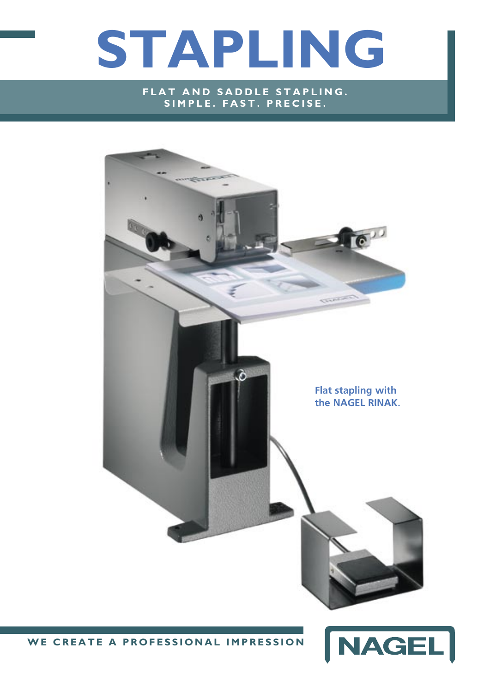# **STAPLING**

**FLAT AND SADDLE STAPLING.** SIMPLE. FAST. PRECISE.



WE CREATE A PROFESSIONAL IMPRESSION

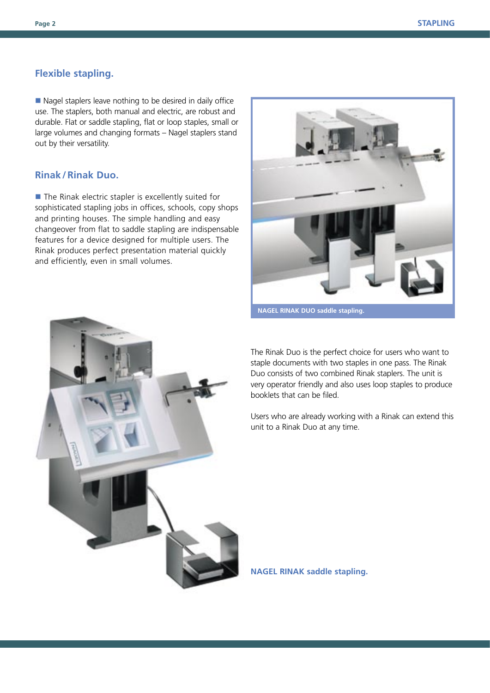#### **Flexible stapling.**

 $\blacksquare$  Nagel staplers leave nothing to be desired in daily office use. The staplers, both manual and electric, are robust and durable. Flat or saddle stapling, flat or loop staples, small or large volumes and changing formats – Nagel staplers stand out by their versatility.

#### **Rinak / Rinak Duo.**

 $\blacksquare$  The Rinak electric stapler is excellently suited for sophisticated stapling jobs in offices, schools, copy shops and printing houses. The simple handling and easy changeover from flat to saddle stapling are indispensable features for a device designed for multiple users. The Rinak produces perfect presentation material quickly and efficiently, even in small volumes.



**NAGEL RINAK DUO saddle stapling.**



The Rinak Duo is the perfect choice for users who want to staple documents with two staples in one pass. The Rinak Duo consists of two combined Rinak staplers. The unit is very operator friendly and also uses loop staples to produce booklets that can be filed.

Users who are already working with a Rinak can extend this unit to a Rinak Duo at any time.

**NAGEL RINAK saddle stapling.**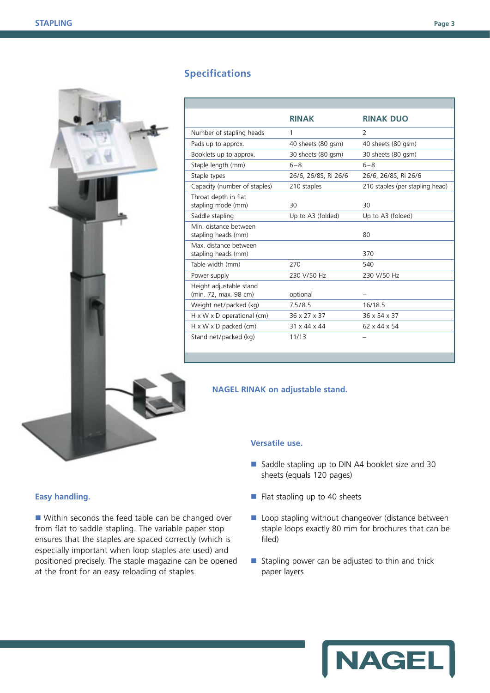

# **Specifications**

|                                                  | <b>RINAK</b>         | <b>RINAK DUO</b>                |
|--------------------------------------------------|----------------------|---------------------------------|
| Number of stapling heads                         | 1                    | 2                               |
| Pads up to approx.                               | 40 sheets (80 gsm)   | 40 sheets (80 gsm)              |
| Booklets up to approx.                           | 30 sheets (80 gsm)   | 30 sheets (80 gsm)              |
| Staple length (mm)                               | $6 - 8$              | $6 - 8$                         |
| Staple types                                     | 26/6, 26/8S, Ri 26/6 | 26/6, 26/8S, Ri 26/6            |
| Capacity (number of staples)                     | 210 staples          | 210 staples (per stapling head) |
| Throat depth in flat<br>stapling mode (mm)       | 30                   | 30                              |
| Saddle stapling                                  | Up to A3 (folded)    | Up to A3 (folded)               |
| Min. distance between<br>stapling heads (mm)     |                      | 80                              |
| Max. distance between<br>stapling heads (mm)     |                      | 370                             |
| Table width (mm)                                 | 270                  | 540                             |
| Power supply                                     | 230 V/50 Hz          | 230 V/50 Hz                     |
| Height adjustable stand<br>(min. 72, max. 98 cm) | optional             |                                 |
| Weight net/packed (kg)                           | 7.5/8.5              | 16/18.5                         |
| $H \times W \times D$ operational (cm)           | 36 x 27 x 37         | 36 x 54 x 37                    |
| $H \times W \times D$ packed (cm)                | 31 x 44 x 44         | 62 x 44 x 54                    |
| Stand net/packed (kg)                            | 11/13                |                                 |

#### **NAGEL RINAK on adjustable stand.**

#### **Versatile use.**

- Saddle stapling up to DIN A4 booklet size and 30 sheets (equals 120 pages)
- $\blacksquare$  Flat stapling up to 40 sheets
- $\blacksquare$  Loop stapling without changeover (distance between staple loops exactly 80 mm for brochures that can be filed)
- $\blacksquare$  Stapling power can be adjusted to thin and thick paper layers

# **Easy handling.**

 $\blacksquare$  Within seconds the feed table can be changed over from flat to saddle stapling. The variable paper stop ensures that the staples are spaced correctly (which is especially important when loop staples are used) and positioned precisely. The staple magazine can be opened at the front for an easy reloading of staples.